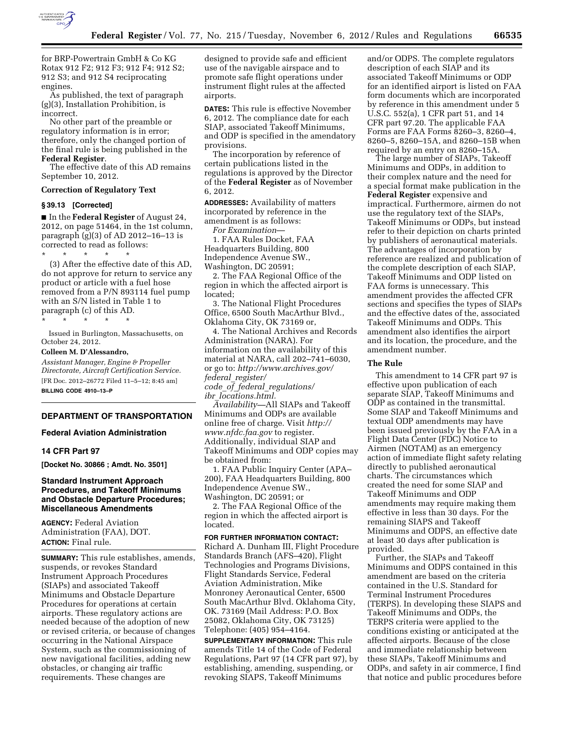

for BRP-Powertrain GmbH & Co KG Rotax 912 F2; 912 F3; 912 F4; 912 S2; 912 S3; and 912 S4 reciprocating engines.

As published, the text of paragraph (g)(3), Installation Prohibition, is incorrect.

No other part of the preamble or regulatory information is in error; therefore, only the changed portion of the final rule is being published in the **Federal Register**.

The effective date of this AD remains September 10, 2012.

# **Correction of Regulatory Text**

#### **§ 39.13 [Corrected]**

■ In the **Federal Register** of August 24, 2012, on page 51464, in the 1st column, paragraph (g)(3) of AD 2012–16–13 is corrected to read as follows:

\* \* \* \* \* (3) After the effective date of this AD, do not approve for return to service any product or article with a fuel hose removed from a P/N 893114 fuel pump with an S/N listed in Table 1 to paragraph (c) of this AD.

Issued in Burlington, Massachusetts, on October 24, 2012.

## **Colleen M. D'Alessandro,**

\* \* \* \* \*

*Assistant Manager, Engine & Propeller Directorate, Aircraft Certification Service.*  [FR Doc. 2012–26772 Filed 11–5–12; 8:45 am] **BILLING CODE 4910–13–P** 

# **DEPARTMENT OF TRANSPORTATION**

## **Federal Aviation Administration**

### **14 CFR Part 97**

**[Docket No. 30866 ; Amdt. No. 3501]** 

# **Standard Instrument Approach Procedures, and Takeoff Minimums and Obstacle Departure Procedures; Miscellaneous Amendments**

**AGENCY:** Federal Aviation Administration (FAA), DOT. **ACTION:** Final rule.

**SUMMARY:** This rule establishes, amends, suspends, or revokes Standard Instrument Approach Procedures (SIAPs) and associated Takeoff Minimums and Obstacle Departure Procedures for operations at certain airports. These regulatory actions are needed because of the adoption of new or revised criteria, or because of changes occurring in the National Airspace System, such as the commissioning of new navigational facilities, adding new obstacles, or changing air traffic requirements. These changes are

designed to provide safe and efficient use of the navigable airspace and to promote safe flight operations under instrument flight rules at the affected airports.

**DATES:** This rule is effective November 6, 2012. The compliance date for each SIAP, associated Takeoff Minimums, and ODP is specified in the amendatory provisions.

The incorporation by reference of certain publications listed in the regulations is approved by the Director of the **Federal Register** as of November 6, 2012.

**ADDRESSES:** Availability of matters incorporated by reference in the amendment is as follows: *For Examination*—

1. FAA Rules Docket, FAA Headquarters Building, 800 Independence Avenue SW.,

Washington, DC 20591;

2. The FAA Regional Office of the region in which the affected airport is located;

3. The National Flight Procedures Office, 6500 South MacArthur Blvd., Oklahoma City, OK 73169 or,

4. The National Archives and Records Administration (NARA). For information on the availability of this material at NARA, call 202–741–6030, or go to: *[http://www.archives.gov/](http://www.archives.gov/federal_register/code_of_federal_regulations/ibr_locations.html)  federal*\_*[register/](http://www.archives.gov/federal_register/code_of_federal_regulations/ibr_locations.html)  code*\_*of*\_*federal*\_*[regulations/](http://www.archives.gov/federal_register/code_of_federal_regulations/ibr_locations.html)* 

*ibr*\_*[locations.html.](http://www.archives.gov/federal_register/code_of_federal_regulations/ibr_locations.html)* 

*Availability—*All SIAPs and Takeoff Minimums and ODPs are available online free of charge. Visit *[http://](http://www.nfdc.faa.gov)  [www.nfdc.faa.gov](http://www.nfdc.faa.gov)* to register. Additionally, individual SIAP and Takeoff Minimums and ODP copies may be obtained from:

1. FAA Public Inquiry Center (APA– 200), FAA Headquarters Building, 800 Independence Avenue SW., Washington, DC 20591; or

2. The FAA Regional Office of the region in which the affected airport is located.

**FOR FURTHER INFORMATION CONTACT:**  Richard A. Dunham III, Flight Procedure Standards Branch (AFS–420), Flight Technologies and Programs Divisions, Flight Standards Service, Federal Aviation Administration, Mike Monroney Aeronautical Center, 6500 South MacArthur Blvd. Oklahoma City, OK. 73169 (Mail Address: P.O. Box 25082, Oklahoma City, OK 73125) Telephone: (405) 954–4164.

**SUPPLEMENTARY INFORMATION:** This rule amends Title 14 of the Code of Federal Regulations, Part 97 (14 CFR part 97), by establishing, amending, suspending, or revoking SIAPS, Takeoff Minimums

and/or ODPS. The complete regulators description of each SIAP and its associated Takeoff Minimums or ODP for an identified airport is listed on FAA form documents which are incorporated by reference in this amendment under 5 U.S.C. 552(a), 1 CFR part 51, and 14 CFR part 97.20. The applicable FAA Forms are FAA Forms 8260–3, 8260–4, 8260–5, 8260–15A, and 8260–15B when required by an entry on 8260–15A.

The large number of SIAPs, Takeoff Minimums and ODPs, in addition to their complex nature and the need for a special format make publication in the **Federal Register** expensive and impractical. Furthermore, airmen do not use the regulatory text of the SIAPs, Takeoff Minimums or ODPs, but instead refer to their depiction on charts printed by publishers of aeronautical materials. The advantages of incorporation by reference are realized and publication of the complete description of each SIAP, Takeoff Minimums and ODP listed on FAA forms is unnecessary. This amendment provides the affected CFR sections and specifies the types of SIAPs and the effective dates of the, associated Takeoff Minimums and ODPs. This amendment also identifies the airport and its location, the procedure, and the amendment number.

## **The Rule**

This amendment to 14 CFR part 97 is effective upon publication of each separate SIAP, Takeoff Minimums and ODP as contained in the transmittal. Some SIAP and Takeoff Minimums and textual ODP amendments may have been issued previously by the FAA in a Flight Data Center (FDC) Notice to Airmen (NOTAM) as an emergency action of immediate flight safety relating directly to published aeronautical charts. The circumstances which created the need for some SIAP and Takeoff Minimums and ODP amendments may require making them effective in less than 30 days. For the remaining SIAPS and Takeoff Minimums and ODPS, an effective date at least 30 days after publication is provided.

Further, the SIAPs and Takeoff Minimums and ODPS contained in this amendment are based on the criteria contained in the U.S. Standard for Terminal Instrument Procedures (TERPS). In developing these SIAPS and Takeoff Minimums and ODPs, the TERPS criteria were applied to the conditions existing or anticipated at the affected airports. Because of the close and immediate relationship between these SIAPs, Takeoff Minimums and ODPs, and safety in air commerce, I find that notice and public procedures before